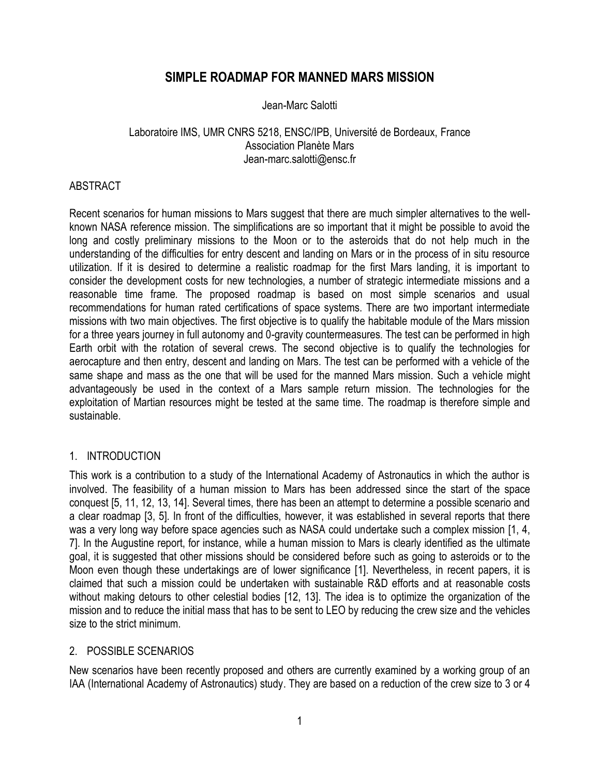# **SIMPLE ROADMAP FOR MANNED MARS MISSION**

### Jean-Marc Salotti

### Laboratoire IMS, UMR CNRS 5218, ENSC/IPB, Université de Bordeaux, France Association Planète Mars Jean-marc.salotti@ensc.fr

### ABSTRACT

Recent scenarios for human missions to Mars suggest that there are much simpler alternatives to the wellknown NASA reference mission. The simplifications are so important that it might be possible to avoid the long and costly preliminary missions to the Moon or to the asteroids that do not help much in the understanding of the difficulties for entry descent and landing on Mars or in the process of in situ resource utilization. If it is desired to determine a realistic roadmap for the first Mars landing, it is important to consider the development costs for new technologies, a number of strategic intermediate missions and a reasonable time frame. The proposed roadmap is based on most simple scenarios and usual recommendations for human rated certifications of space systems. There are two important intermediate missions with two main objectives. The first objective is to qualify the habitable module of the Mars mission for a three years journey in full autonomy and 0-gravity countermeasures. The test can be performed in high Earth orbit with the rotation of several crews. The second objective is to qualify the technologies for aerocapture and then entry, descent and landing on Mars. The test can be performed with a vehicle of the same shape and mass as the one that will be used for the manned Mars mission. Such a vehicle might advantageously be used in the context of a Mars sample return mission. The technologies for the exploitation of Martian resources might be tested at the same time. The roadmap is therefore simple and sustainable.

## 1. INTRODUCTION

This work is a contribution to a study of the International Academy of Astronautics in which the author is involved. The feasibility of a human mission to Mars has been addressed since the start of the space conquest [5, 11, 12, 13, 14]. Several times, there has been an attempt to determine a possible scenario and a clear roadmap [3, 5]. In front of the difficulties, however, it was established in several reports that there was a very long way before space agencies such as NASA could undertake such a complex mission [1, 4, 7]. In the Augustine report, for instance, while a human mission to Mars is clearly identified as the ultimate goal, it is suggested that other missions should be considered before such as going to asteroids or to the Moon even though these undertakings are of lower significance [1]. Nevertheless, in recent papers, it is claimed that such a mission could be undertaken with sustainable R&D efforts and at reasonable costs without making detours to other celestial bodies [12, 13]. The idea is to optimize the organization of the mission and to reduce the initial mass that has to be sent to LEO by reducing the crew size and the vehicles size to the strict minimum.

## 2. POSSIBLE SCENARIOS

New scenarios have been recently proposed and others are currently examined by a working group of an IAA (International Academy of Astronautics) study. They are based on a reduction of the crew size to 3 or 4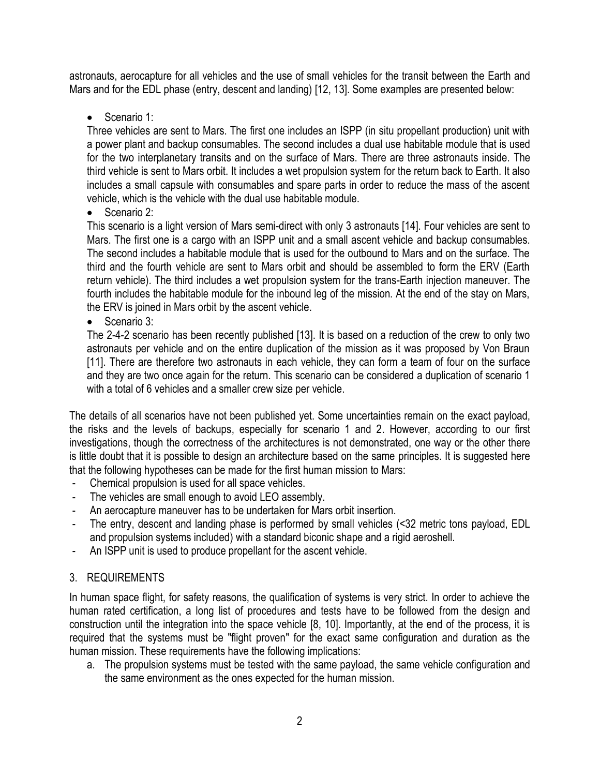astronauts, aerocapture for all vehicles and the use of small vehicles for the transit between the Earth and Mars and for the EDL phase (entry, descent and landing) [12, 13]. Some examples are presented below:

Scenario 1:

Three vehicles are sent to Mars. The first one includes an ISPP (in situ propellant production) unit with a power plant and backup consumables. The second includes a dual use habitable module that is used for the two interplanetary transits and on the surface of Mars. There are three astronauts inside. The third vehicle is sent to Mars orbit. It includes a wet propulsion system for the return back to Earth. It also includes a small capsule with consumables and spare parts in order to reduce the mass of the ascent vehicle, which is the vehicle with the dual use habitable module.

• Scenario 2:

This scenario is a light version of Mars semi-direct with only 3 astronauts [14]. Four vehicles are sent to Mars. The first one is a cargo with an ISPP unit and a small ascent vehicle and backup consumables. The second includes a habitable module that is used for the outbound to Mars and on the surface. The third and the fourth vehicle are sent to Mars orbit and should be assembled to form the ERV (Earth return vehicle). The third includes a wet propulsion system for the trans-Earth injection maneuver. The fourth includes the habitable module for the inbound leg of the mission. At the end of the stay on Mars, the ERV is joined in Mars orbit by the ascent vehicle.

• Scenario 3:

The 2-4-2 scenario has been recently published [13]. It is based on a reduction of the crew to only two astronauts per vehicle and on the entire duplication of the mission as it was proposed by Von Braun [11]. There are therefore two astronauts in each vehicle, they can form a team of four on the surface and they are two once again for the return. This scenario can be considered a duplication of scenario 1 with a total of 6 vehicles and a smaller crew size per vehicle.

The details of all scenarios have not been published yet. Some uncertainties remain on the exact payload, the risks and the levels of backups, especially for scenario 1 and 2. However, according to our first investigations, though the correctness of the architectures is not demonstrated, one way or the other there is little doubt that it is possible to design an architecture based on the same principles. It is suggested here that the following hypotheses can be made for the first human mission to Mars:

- Chemical propulsion is used for all space vehicles.
- The vehicles are small enough to avoid LEO assembly.
- An aerocapture maneuver has to be undertaken for Mars orbit insertion.
- The entry, descent and landing phase is performed by small vehicles (<32 metric tons payload, EDL and propulsion systems included) with a standard biconic shape and a rigid aeroshell.
- An ISPP unit is used to produce propellant for the ascent vehicle.

# 3. REQUIREMENTS

In human space flight, for safety reasons, the qualification of systems is very strict. In order to achieve the human rated certification, a long list of procedures and tests have to be followed from the design and construction until the integration into the space vehicle [8, 10]. Importantly, at the end of the process, it is required that the systems must be "flight proven" for the exact same configuration and duration as the human mission. These requirements have the following implications:

a. The propulsion systems must be tested with the same payload, the same vehicle configuration and the same environment as the ones expected for the human mission.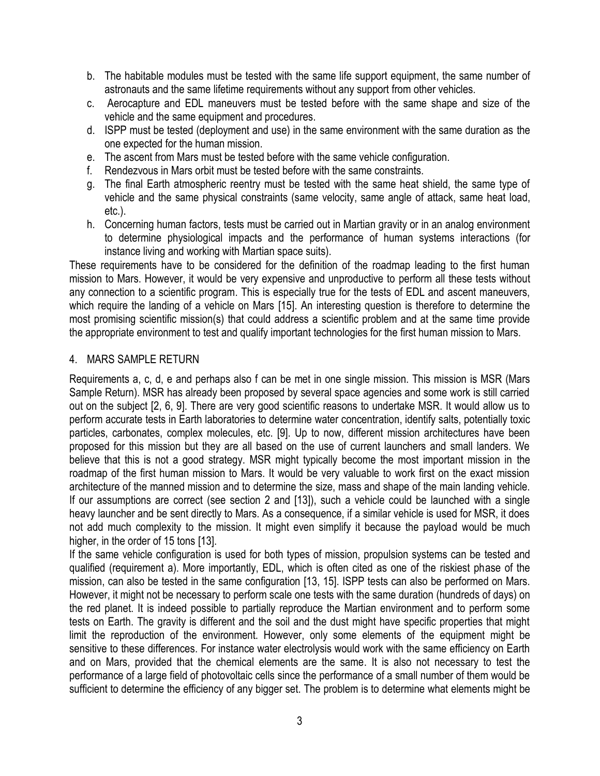- b. The habitable modules must be tested with the same life support equipment, the same number of astronauts and the same lifetime requirements without any support from other vehicles.
- c. Aerocapture and EDL maneuvers must be tested before with the same shape and size of the vehicle and the same equipment and procedures.
- d. ISPP must be tested (deployment and use) in the same environment with the same duration as the one expected for the human mission.
- e. The ascent from Mars must be tested before with the same vehicle configuration.
- f. Rendezvous in Mars orbit must be tested before with the same constraints.
- g. The final Earth atmospheric reentry must be tested with the same heat shield, the same type of vehicle and the same physical constraints (same velocity, same angle of attack, same heat load, etc.).
- h. Concerning human factors, tests must be carried out in Martian gravity or in an analog environment to determine physiological impacts and the performance of human systems interactions (for instance living and working with Martian space suits).

These requirements have to be considered for the definition of the roadmap leading to the first human mission to Mars. However, it would be very expensive and unproductive to perform all these tests without any connection to a scientific program. This is especially true for the tests of EDL and ascent maneuvers, which require the landing of a vehicle on Mars [15]. An interesting question is therefore to determine the most promising scientific mission(s) that could address a scientific problem and at the same time provide the appropriate environment to test and qualify important technologies for the first human mission to Mars.

# 4. MARS SAMPLE RETURN

Requirements a, c, d, e and perhaps also f can be met in one single mission. This mission is MSR (Mars Sample Return). MSR has already been proposed by several space agencies and some work is still carried out on the subject [2, 6, 9]. There are very good scientific reasons to undertake MSR. It would allow us to perform accurate tests in Earth laboratories to determine water concentration, identify salts, potentially toxic particles, carbonates, complex molecules, etc. [9]. Up to now, different mission architectures have been proposed for this mission but they are all based on the use of current launchers and small landers. We believe that this is not a good strategy. MSR might typically become the most important mission in the roadmap of the first human mission to Mars. It would be very valuable to work first on the exact mission architecture of the manned mission and to determine the size, mass and shape of the main landing vehicle. If our assumptions are correct (see section 2 and [13]), such a vehicle could be launched with a single heavy launcher and be sent directly to Mars. As a consequence, if a similar vehicle is used for MSR, it does not add much complexity to the mission. It might even simplify it because the payload would be much higher, in the order of 15 tons [13].

If the same vehicle configuration is used for both types of mission, propulsion systems can be tested and qualified (requirement a). More importantly, EDL, which is often cited as one of the riskiest phase of the mission, can also be tested in the same configuration [13, 15]. ISPP tests can also be performed on Mars. However, it might not be necessary to perform scale one tests with the same duration (hundreds of days) on the red planet. It is indeed possible to partially reproduce the Martian environment and to perform some tests on Earth. The gravity is different and the soil and the dust might have specific properties that might limit the reproduction of the environment. However, only some elements of the equipment might be sensitive to these differences. For instance water electrolysis would work with the same efficiency on Earth and on Mars, provided that the chemical elements are the same. It is also not necessary to test the performance of a large field of photovoltaic cells since the performance of a small number of them would be sufficient to determine the efficiency of any bigger set. The problem is to determine what elements might be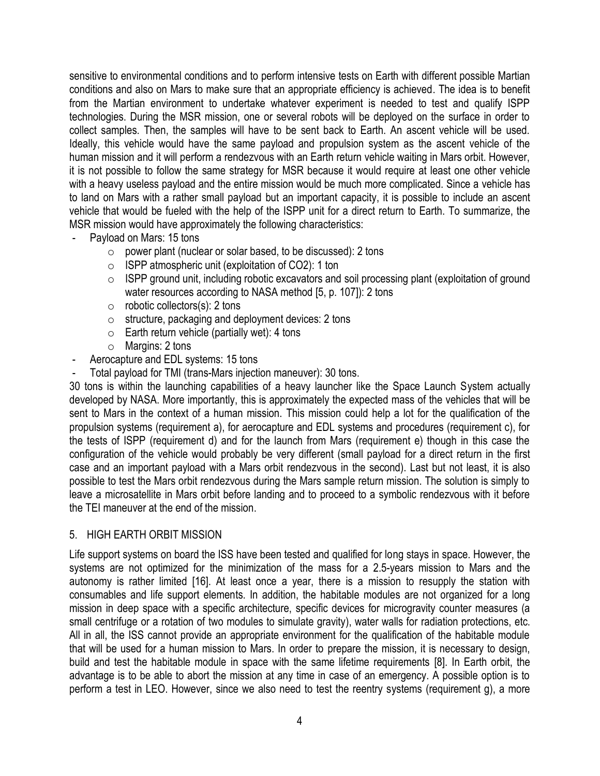sensitive to environmental conditions and to perform intensive tests on Earth with different possible Martian conditions and also on Mars to make sure that an appropriate efficiency is achieved. The idea is to benefit from the Martian environment to undertake whatever experiment is needed to test and qualify ISPP technologies. During the MSR mission, one or several robots will be deployed on the surface in order to collect samples. Then, the samples will have to be sent back to Earth. An ascent vehicle will be used. Ideally, this vehicle would have the same payload and propulsion system as the ascent vehicle of the human mission and it will perform a rendezvous with an Earth return vehicle waiting in Mars orbit. However, it is not possible to follow the same strategy for MSR because it would require at least one other vehicle with a heavy useless payload and the entire mission would be much more complicated. Since a vehicle has to land on Mars with a rather small payload but an important capacity, it is possible to include an ascent vehicle that would be fueled with the help of the ISPP unit for a direct return to Earth. To summarize, the MSR mission would have approximately the following characteristics:

- Payload on Mars: 15 tons
	- $\circ$  power plant (nuclear or solar based, to be discussed): 2 tons
	- o ISPP atmospheric unit (exploitation of CO2): 1 ton
	- o ISPP ground unit, including robotic excavators and soil processing plant (exploitation of ground water resources according to NASA method [5, p. 107]): 2 tons
	- $\circ$  robotic collectors(s): 2 tons
	- $\circ$  structure, packaging and deployment devices: 2 tons
	- $\circ$  Earth return vehicle (partially wet): 4 tons
	- o Margins: 2 tons
- Aerocapture and EDL systems: 15 tons
- Total payload for TMI (trans-Mars injection maneuver): 30 tons.

30 tons is within the launching capabilities of a heavy launcher like the Space Launch System actually developed by NASA. More importantly, this is approximately the expected mass of the vehicles that will be sent to Mars in the context of a human mission. This mission could help a lot for the qualification of the propulsion systems (requirement a), for aerocapture and EDL systems and procedures (requirement c), for the tests of ISPP (requirement d) and for the launch from Mars (requirement e) though in this case the configuration of the vehicle would probably be very different (small payload for a direct return in the first case and an important payload with a Mars orbit rendezvous in the second). Last but not least, it is also possible to test the Mars orbit rendezvous during the Mars sample return mission. The solution is simply to leave a microsatellite in Mars orbit before landing and to proceed to a symbolic rendezvous with it before the TEI maneuver at the end of the mission.

#### 5. HIGH EARTH ORBIT MISSION

Life support systems on board the ISS have been tested and qualified for long stays in space. However, the systems are not optimized for the minimization of the mass for a 2.5-years mission to Mars and the autonomy is rather limited [16]. At least once a year, there is a mission to resupply the station with consumables and life support elements. In addition, the habitable modules are not organized for a long mission in deep space with a specific architecture, specific devices for microgravity counter measures (a small centrifuge or a rotation of two modules to simulate gravity), water walls for radiation protections, etc. All in all, the ISS cannot provide an appropriate environment for the qualification of the habitable module that will be used for a human mission to Mars. In order to prepare the mission, it is necessary to design, build and test the habitable module in space with the same lifetime requirements [8]. In Earth orbit, the advantage is to be able to abort the mission at any time in case of an emergency. A possible option is to perform a test in LEO. However, since we also need to test the reentry systems (requirement g), a more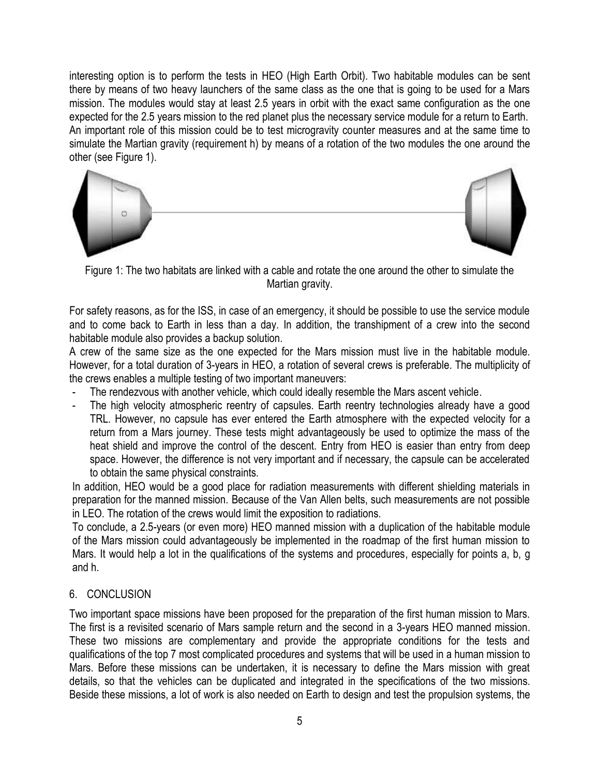interesting option is to perform the tests in HEO (High Earth Orbit). Two habitable modules can be sent there by means of two heavy launchers of the same class as the one that is going to be used for a Mars mission. The modules would stay at least 2.5 years in orbit with the exact same configuration as the one expected for the 2.5 years mission to the red planet plus the necessary service module for a return to Earth. An important role of this mission could be to test microgravity counter measures and at the same time to simulate the Martian gravity (requirement h) by means of a rotation of the two modules the one around the other (see Figure 1).



Figure 1: The two habitats are linked with a cable and rotate the one around the other to simulate the Martian gravity.

For safety reasons, as for the ISS, in case of an emergency, it should be possible to use the service module and to come back to Earth in less than a day. In addition, the transhipment of a crew into the second habitable module also provides a backup solution.

A crew of the same size as the one expected for the Mars mission must live in the habitable module. However, for a total duration of 3-years in HEO, a rotation of several crews is preferable. The multiplicity of the crews enables a multiple testing of two important maneuvers:

- The rendezvous with another vehicle, which could ideally resemble the Mars ascent vehicle.
- The high velocity atmospheric reentry of capsules. Earth reentry technologies already have a good TRL. However, no capsule has ever entered the Earth atmosphere with the expected velocity for a return from a Mars journey. These tests might advantageously be used to optimize the mass of the heat shield and improve the control of the descent. Entry from HEO is easier than entry from deep space. However, the difference is not very important and if necessary, the capsule can be accelerated to obtain the same physical constraints.

In addition, HEO would be a good place for radiation measurements with different shielding materials in preparation for the manned mission. Because of the Van Allen belts, such measurements are not possible in LEO. The rotation of the crews would limit the exposition to radiations.

To conclude, a 2.5-years (or even more) HEO manned mission with a duplication of the habitable module of the Mars mission could advantageously be implemented in the roadmap of the first human mission to Mars. It would help a lot in the qualifications of the systems and procedures, especially for points a, b, g and h.

## 6. CONCLUSION

Two important space missions have been proposed for the preparation of the first human mission to Mars. The first is a revisited scenario of Mars sample return and the second in a 3-years HEO manned mission. These two missions are complementary and provide the appropriate conditions for the tests and qualifications of the top 7 most complicated procedures and systems that will be used in a human mission to Mars. Before these missions can be undertaken, it is necessary to define the Mars mission with great details, so that the vehicles can be duplicated and integrated in the specifications of the two missions. Beside these missions, a lot of work is also needed on Earth to design and test the propulsion systems, the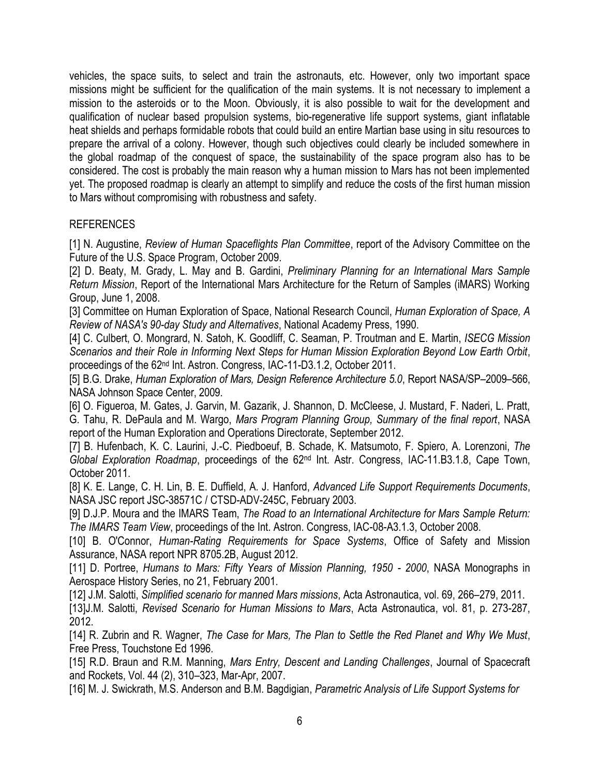vehicles, the space suits, to select and train the astronauts, etc. However, only two important space missions might be sufficient for the qualification of the main systems. It is not necessary to implement a mission to the asteroids or to the Moon. Obviously, it is also possible to wait for the development and qualification of nuclear based propulsion systems, bio-regenerative life support systems, giant inflatable heat shields and perhaps formidable robots that could build an entire Martian base using in situ resources to prepare the arrival of a colony. However, though such objectives could clearly be included somewhere in the global roadmap of the conquest of space, the sustainability of the space program also has to be considered. The cost is probably the main reason why a human mission to Mars has not been implemented yet. The proposed roadmap is clearly an attempt to simplify and reduce the costs of the first human mission to Mars without compromising with robustness and safety.

### REFERENCES

[1] N. Augustine, *Review of Human Spaceflights Plan Committee*, report of the Advisory Committee on the Future of the U.S. Space Program, October 2009.

[2] D. Beaty, M. Grady, L. May and B. Gardini, *Preliminary Planning for an International Mars Sample Return Mission*, Report of the International Mars Architecture for the Return of Samples (iMARS) Working Group, June 1, 2008.

[3] Committee on Human Exploration of Space, National Research Council, *Human Exploration of Space, A Review of NASA's 90-day Study and Alternatives*, National Academy Press, 1990.

[4] C. Culbert, O. Mongrard, N. Satoh, K. Goodliff, C. Seaman, P. Troutman and E. Martin, *ISECG Mission Scenarios and their Role in Informing Next Steps for Human Mission Exploration Beyond Low Earth Orbit*, proceedings of the 62nd Int. Astron. Congress, IAC-11-D3.1.2, October 2011.

[5] B.G. Drake, *Human Exploration of Mars, Design Reference Architecture 5.0*, Report NASA/SP–2009–566, NASA Johnson Space Center, 2009.

[6] O. Figueroa, M. Gates, J. Garvin, M. Gazarik, J. Shannon, D. McCleese, J. Mustard, F. Naderi, L. Pratt, G. Tahu, R. DePaula and M. Wargo, *Mars Program Planning Group, Summary of the final report*, NASA report of the Human Exploration and Operations Directorate, September 2012.

[7] B. Hufenbach, K. C. Laurini, J.-C. Piedboeuf, B. Schade, K. Matsumoto, F. Spiero, A. Lorenzoni, *The Global Exploration Roadmap*, proceedings of the 62nd Int. Astr. Congress, IAC-11.B3.1.8, Cape Town, October 2011.

[8] K. E. Lange, C. H. Lin, B. E. Duffield, A. J. Hanford, *Advanced Life Support Requirements Documents*, NASA JSC report JSC-38571C / CTSD-ADV-245C, February 2003.

[9] D.J.P. Moura and the IMARS Team, *The Road to an International Architecture for Mars Sample Return: The IMARS Team View*, proceedings of the Int. Astron. Congress, IAC-08-A3.1.3, October 2008.

[10] B. O'Connor, *Human-Rating Requirements for Space Systems*, Office of Safety and Mission Assurance, NASA report NPR 8705.2B, August 2012.

[11] D. Portree, *Humans to Mars: Fifty Years of Mission Planning, 1950 - 2000*, NASA Monographs in Aerospace History Series, no 21, February 2001.

[12] J.M. Salotti, *Simplified scenario for manned Mars missions*, Acta Astronautica, vol. 69, 266–279, 2011. [13]J.M. Salotti, *Revised Scenario for Human Missions to Mars*, Acta Astronautica, vol. 81, p. 273-287, 2012.

[14] R. Zubrin and R. Wagner, *The Case for Mars, The Plan to Settle the Red Planet and Why We Must*, Free Press, Touchstone Ed 1996.

[15] R.D. Braun and R.M. Manning, *Mars Entry, Descent and Landing Challenges*, Journal of Spacecraft and Rockets, Vol. 44 (2), 310–323, Mar-Apr, 2007.

[16] M. J. Swickrath, M.S. Anderson and B.M. Bagdigian, *Parametric Analysis of Life Support Systems for*